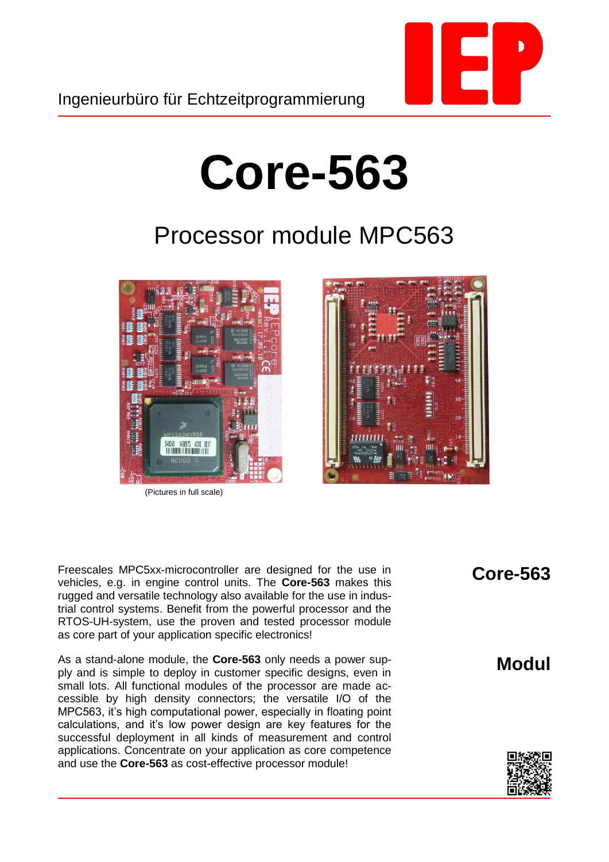

## **Core-563**

## Processor module MPC563



(Pictures in full scale)



Freescales MPC5xx-microcontroller are designed for the use in vehicles, e.g. in engine control units. The **Core-563** makes this rugged and versatile technology also available for the use in industrial control systems. Benefit from the powerful processor and the RTOS-UH-system, use the proven and tested processor module as core part of your application specific electronics!

As a stand-alone module, the **Core-563** only needs a power supply and is simple to deploy in customer specific designs, even in small lots. All functional modules of the processor are made accessible by high density connectors; the versatile I/O of the MPC563, it's high computational power, especially in floating point calculations, and it's low power design are key features for the successful deployment in all kinds of measurement and control applications. Concentrate on your application as core competence and use the **Core-563** as cost-effective processor module!

**Core-563**

**Modul**